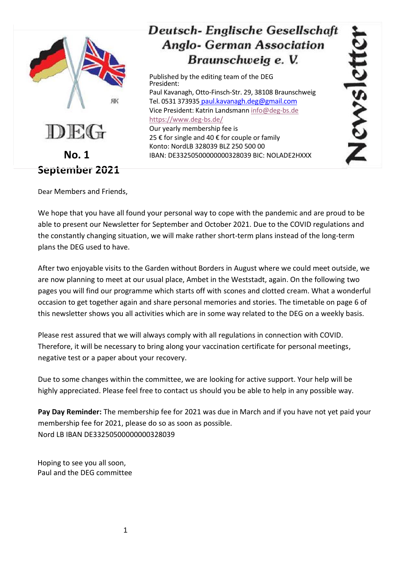

# **Deutsch-Englische Gesellschaft Anglo- German Association** Braunschweig e. V.

Published by the editing team of the DEG President: Paul Kavanagh, Otto-Finsch-Str. 29, 38108 Braunschweig Tel. 0531 373935 [paul.kavanagh.deg@gmail.com](mailto:paul.kavanagh.deg@gmail.com) Vice President: Katrin Landsmann [info@deg-bs.de](mailto:info@deg-bs.de) <https://www.deg-bs.de/> Our yearly membership fee is 25 € for single and 40 € for couple or family Konto: NordLB 328039 BLZ 250 500 00 IBAN: DE33250500000000328039 BIC: NOLADE2HXXX

CWS

Dear Members and Friends,

We hope that you have all found your personal way to cope with the pandemic and are proud to be able to present our Newsletter for September and October 2021. Due to the COVID regulations and the constantly changing situation, we will make rather short-term plans instead of the long-term plans the DEG used to have.

After two enjoyable visits to the Garden without Borders in August where we could meet outside, we are now planning to meet at our usual place, Ambet in the Weststadt, again. On the following two pages you will find our programme which starts off with scones and clotted cream. What a wonderful occasion to get together again and share personal memories and stories. The timetable on page 6 of this newsletter shows you all activities which are in some way related to the DEG on a weekly basis.

Please rest assured that we will always comply with all regulations in connection with COVID. Therefore, it will be necessary to bring along your vaccination certificate for personal meetings, negative test or a paper about your recovery.

Due to some changes within the committee, we are looking for active support. Your help will be highly appreciated. Please feel free to contact us should you be able to help in any possible way.

**Pay Day Reminder:** The membership fee for 2021 was due in March and if you have not yet paid your membership fee for 2021, please do so as soon as possible. Nord LB IBAN DE33250500000000328039

Hoping to see you all soon, Paul and the DEG committee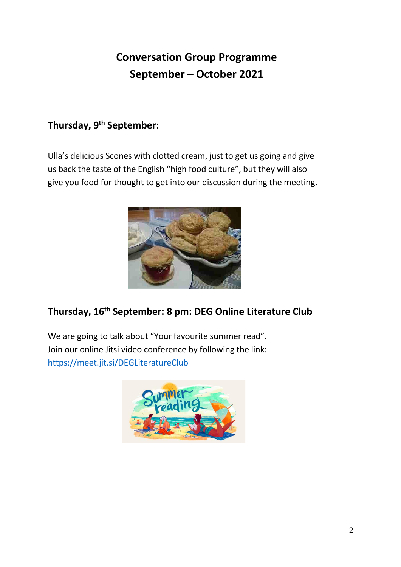# **Conversation Group Programme September – October 2021**

# **Thursday, 9 th September:**

Ulla's delicious Scones with clotted cream, just to get us going and give us back the taste of the English "high food culture", but they will also give you food for thought to get into our discussion during the meeting.



# **Thursday, 16th September: 8 pm: DEG Online Literature Club**

We are going to talk about "Your favourite summer read". Join our online Jitsi video conference by following the link: <https://meet.jit.si/DEGLiteratureClub>

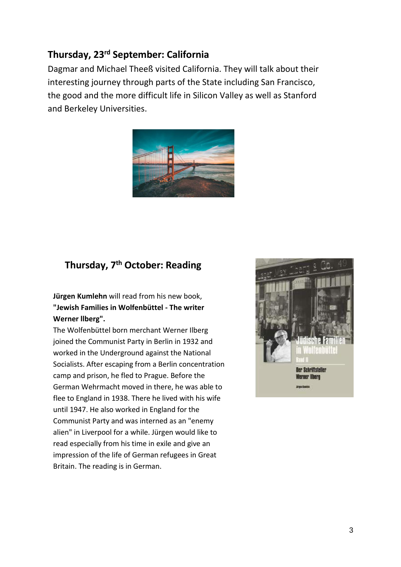# **Thursday, 23rd September: California**

Dagmar and Michael Theeß visited California. They will talk about their interesting journey through parts of the State including San Francisco, the good and the more difficult life in Silicon Valley as well as Stanford and Berkeley Universities.



# **Thursday, 7th October: Reading**

**Jürgen Kumlehn** will read from his new book, **"Jewish Families in Wolfenbüttel - The writer Werner llberg".**

The Wolfenbüttel born merchant Werner Ilberg joined the Communist Party in Berlin in 1932 and worked in the Underground against the National Socialists. After escaping from a Berlin concentration camp and prison, he fled to Prague. Before the German Wehrmacht moved in there, he was able to flee to England in 1938. There he lived with his wife until 1947. He also worked in England for the Communist Party and was interned as an "enemy alien" in Liverpool for a while. Jürgen would like to read especially from his time in exile and give an impression of the life of German refugees in Great Britain. The reading is in German.

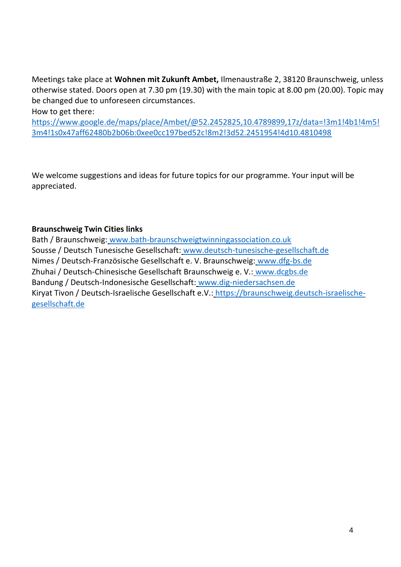Meetings take place at **Wohnen mit Zukunft Ambet,** Ilmenaustraße 2, 38120 Braunschweig, unless otherwise stated. Doors open at 7.30 pm (19.30) with the main topic at 8.00 pm (20.00). Topic may be changed due to unforeseen circumstances.

How to get there:

[https://www.google.de/maps/place/Ambet/@52.2452825,10.4789899,17z/data=!3m1!4b1!4m5!](https://www.google.de/maps/place/Ambet/@52.2452825,10.4789899,17z/data=!3m1!4b1!4m5!3m4!1s0x47aff62480b2b06b:0xee0cc197bed52c!8m2!3d52.2451954!4d10.4810498) [3m4!1s0x47aff62480b2b06b:0xee0cc197bed52c!8m2!3d52.2451954!4d10.4810498](https://www.google.de/maps/place/Ambet/@52.2452825,10.4789899,17z/data=!3m1!4b1!4m5!3m4!1s0x47aff62480b2b06b:0xee0cc197bed52c!8m2!3d52.2451954!4d10.4810498)

We welcome suggestions and ideas for future topics for our programme. Your input will be appreciated.

#### **Braunschweig Twin Cities links**

Bath / Braunschweig: [www.bath-braunschweigtwinningassociation.co.uk](http://www.bath-braunschweigtwinningassociation.co.uk/) Sousse / Deutsch Tunesische Gesellschaft: [www.deutsch-tunesische-gesellschaft.de](http://www.deutsch-tunesische-gesellschaft.de/) Nimes / Deutsch-Französische Gesellschaft e. V. Braunschweig: [www.dfg-bs.de](http://www.dfg-bs.de/) Zhuhai / Deutsch-Chinesische Gesellschaft Braunschweig e. V.: [www.dcgbs.de](http://www.dcgbs.de/) Bandung / Deutsch-Indonesische Gesellschaft: [www.dig-niedersachsen.de](http://www.dig-niedersachsen.de/) Kiryat Tivon / Deutsch-Israelische Gesellschaft e.V.: [https://braunschweig.deutsch-israelische](https://braunschweig.deutsch-israelische-gesellschaft.de/)[gesellschaft.de](https://braunschweig.deutsch-israelische-gesellschaft.de/)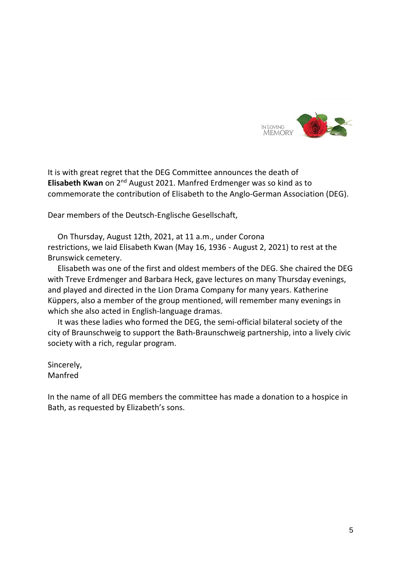

It is with great regret that the DEG Committee announces the death of Elisabeth Kwan on 2<sup>nd</sup> August 2021. Manfred Erdmenger was so kind as to commemorate the contribution of Elisabeth to the Anglo-German Association (DEG).

Dear members of the Deutsch-Englische Gesellschaft,

 On Thursday, August 12th, 2021, at 11 a.m., under Corona restrictions, we laid Elisabeth Kwan (May 16, 1936 - August 2, 2021) to rest at the Brunswick cemetery.

 Elisabeth was one of the first and oldest members of the DEG. She chaired the DEG with Treve Erdmenger and Barbara Heck, gave lectures on many Thursday evenings, and played and directed in the Lion Drama Company for many years. Katherine Küppers, also a member of the group mentioned, will remember many evenings in which she also acted in English-language dramas.

 It was these ladies who formed the DEG, the semi-official bilateral society of the city of Braunschweig to support the Bath-Braunschweig partnership, into a lively civic society with a rich, regular program.

Sincerely, Manfred

In the name of all DEG members the committee has made a donation to a hospice in Bath, as requested by Elizabeth's sons.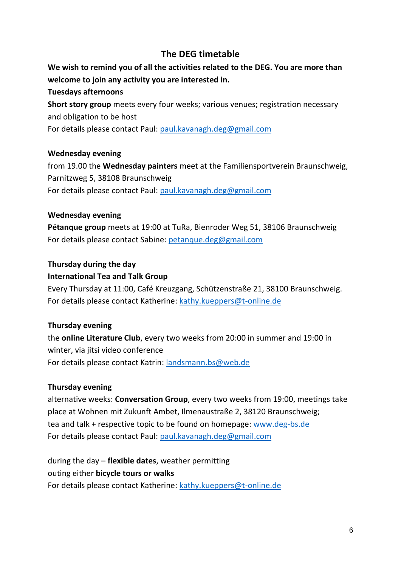## **The DEG timetable**

## **We wish to remind you of all the activities related to the DEG. You are more than welcome to join any activity you are interested in.**

#### **Tuesdays afternoons**

**Short story group** meets every four weeks; various venues; registration necessary and obligation to be host For details please contact Paul: [paul.kavanagh.deg@gmail.com](mailto:paul.kavanagh.deg@gmail.com)

#### **Wednesday evening**

from 19.00 the **Wednesday painters** meet at the Familiensportverein Braunschweig, Parnitzweg 5, 38108 Braunschweig For details please contact Paul: [paul.kavanagh.deg@gmail.com](mailto:paul.kavanagh.deg@gmail.com)

#### **Wednesday evening**

**Pétanque group** meets at 19:00 at TuRa, Bienroder Weg 51, 38106 Braunschweig For details please contact Sabine: [petanque.deg@gmail.com](mailto:petanque.deg@gmail.com)

#### **Thursday during the day**

#### **International Tea and Talk Group**

Every Thursday at 11:00, Café Kreuzgang, Schützenstraße 21, 38100 Braunschweig. For details please contact Katherine: [kathy.kueppers@t-online.de](mailto:kathy.kueppers@t-online.de)

#### **Thursday evening**

the **online Literature Club**, every two weeks from 20:00 in summer and 19:00 in winter, via jitsi video conference For details please contact Katrin: [landsmann.bs@web.de](mailto:landsmann.bs@web.de)

#### **Thursday evening**

alternative weeks: **Conversation Group**, every two weeks from 19:00, meetings take place at Wohnen mit Zukunft Ambet, Ilmenaustraße 2, 38120 Braunschweig; tea and talk + respective topic to be found on homepage: [www.deg-bs.de](http://www.deg-bs.de/) For details please contact Paul: [paul.kavanagh.deg@gmail.com](mailto:paul.kavanagh.deg@gmail.com)

during the day – **flexible dates**, weather permitting outing either **bicycle tours or walks**  For details please contact Katherine: [kathy.kueppers@t-online.de](mailto:kathy.kueppers@t-online.de)